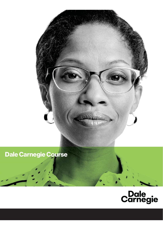

# **Dale Carnegie Course**

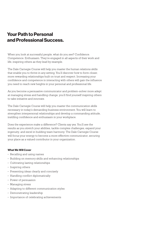# **Your Path to Personal and Professional Success.**

When you look at successful people, what do you see? Confidence. Competence. Enthusiasm. They're engaged in all aspects of their work and life, inspiring others as they lead by example.

The Dale Carnegie Course will help you master the human relations skills that enable you to thrive in any setting. You'll discover how to form closer, more rewarding relationships built on trust and respect. Increasing your confidence and competence in interacting with others will gain the influence you need to reach new heights in your personal and professional life.

As you become a persuasive communicator and problem-solver more adept at managing stress and handling change, you'll find yourself inspiring others to take initiative and innovate.

The Dale Carnegie Course will help you master the communication skills necessary in today's demanding business environment. You will learn to strengthen interpersonal relationships and develop a commanding attitude, instilling confidence and enthusiasm in your workplace.

Does the experience make a difference? Clients say yes. You'll see the results as you stretch your abilities, tackle complex challenges, expand your ingenuity, and excel in building team harmony. The Dale Carnegie Course will focus your energy to become a more effective communicator, securing your place as a valued contributor in your organization.

## **What We Will Cover**

- Recalling and using names
- Building on memory skills and enhancing relationships
- Cultivating lasting relationships
- Inspiring others
- Presenting ideas clearly and concisely
- Handling conflict diplomatically
- Power of persuasion
- Managing stress
- Adapting to different communication styles
- Demonstrating leadership
- Importance of celebrating achievements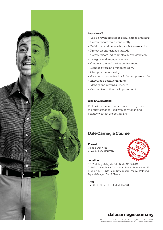

# **Learn How To**

- Use a proven process to recall names and facts
- Communicate more confidently
- Build trust and persuade people to take action
- Project an enthusiastic attitude
- Communicate logically, clearly and concisely
- Energize and engage listeners
- Create a safe and caring environment
- Manage stress and minimize worry
- Strengthen relationships
- Give constructive feedback that empowers others
- Encourage positive thinking
- Identify and reward successes
- Commit to continuous improvement

# **Who Should Attend**

Professionals at all levels who wish to optimize their performance, lead with conviction and positively affect the bottom line.

# **Dale Carnegie Course**

Format Once a week for 8-Week consecutively



## Location

DC Training Malaysia Sdn Bhd (313724-D) A1209-A1210, Pusat Dagangan Phileo Damansara II, 15 Jalan 16/11, Off Jalan Damansara, 46350 Petaling Jaya, Selangor Darul Ehsan.

Price RM3900.00 nett (excluded 6% SST)

# dalecarnegie.com.my

U.S. Franchisees are accredited by the Accrediting Council for Continuing Education and Training (ACCET). Copyright © 2016 Dale Carnegie & Associates, Inc. All rights reserved. LTM\_brochure\_111416\_9090807-IS